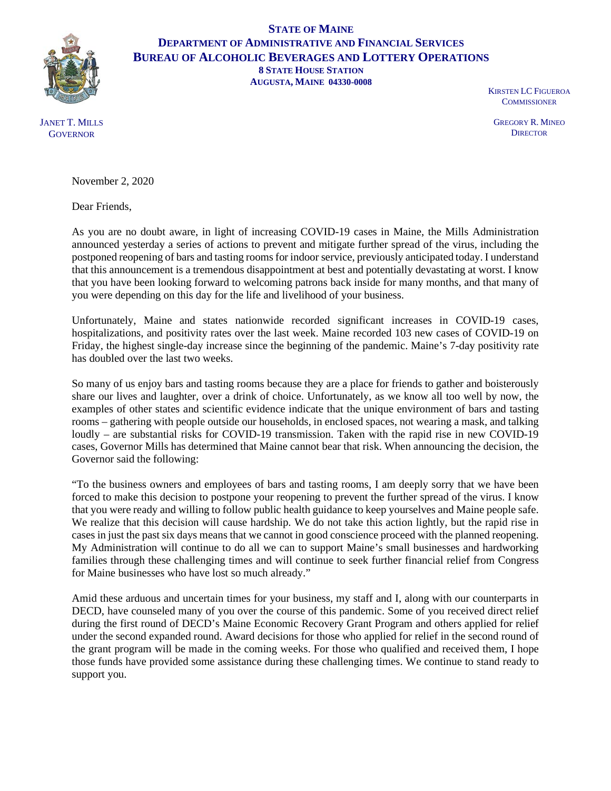

## **STATE OF MAINE DEPARTMENT OF ADMINISTRATIVE AND FINANCIAL SERVICES BUREAU OF ALCOHOLIC BEVERAGES AND LOTTERY OPERATIONS 8 STATE HOUSE STATION AUGUSTA, MAINE 04330-0008**

KIRSTEN LC FIGUEROA **COMMISSIONER** 

GREGORY R. MINEO **DIRECTOR** 

JANET T. MILLS **GOVERNOR** 

November 2, 2020

Dear Friends,

As you are no doubt aware, in light of increasing COVID-19 cases in Maine, the Mills Administration announced yesterday a series of actions to prevent and mitigate further spread of the virus, including the postponed reopening of bars and tasting rooms for indoor service, previously anticipated today. I understand that this announcement is a tremendous disappointment at best and potentially devastating at worst. I know that you have been looking forward to welcoming patrons back inside for many months, and that many of you were depending on this day for the life and livelihood of your business.

Unfortunately, Maine and states nationwide recorded significant increases in COVID-19 cases, hospitalizations, and positivity rates over the last week. Maine recorded 103 new cases of COVID-19 on Friday, the highest single-day increase since the beginning of the pandemic. Maine's 7-day positivity rate has doubled over the last two weeks.

So many of us enjoy bars and tasting rooms because they are a place for friends to gather and boisterously share our lives and laughter, over a drink of choice. Unfortunately, as we know all too well by now, the examples of other states and scientific evidence indicate that the unique environment of bars and tasting rooms – gathering with people outside our households, in enclosed spaces, not wearing a mask, and talking loudly – are substantial risks for COVID-19 transmission. Taken with the rapid rise in new COVID-19 cases, Governor Mills has determined that Maine cannot bear that risk. When announcing the decision, the Governor said the following:

"To the business owners and employees of bars and tasting rooms, I am deeply sorry that we have been forced to make this decision to postpone your reopening to prevent the further spread of the virus. I know that you were ready and willing to follow public health guidance to keep yourselves and Maine people safe. We realize that this decision will cause hardship. We do not take this action lightly, but the rapid rise in cases in just the past six days means that we cannot in good conscience proceed with the planned reopening. My Administration will continue to do all we can to support Maine's small businesses and hardworking families through these challenging times and will continue to seek further financial relief from Congress for Maine businesses who have lost so much already."

Amid these arduous and uncertain times for your business, my staff and I, along with our counterparts in DECD, have counseled many of you over the course of this pandemic. Some of you received direct relief during the first round of DECD's Maine Economic Recovery Grant Program and others applied for relief under the second expanded round. Award decisions for those who applied for relief in the second round of the grant program will be made in the coming weeks. For those who qualified and received them, I hope those funds have provided some assistance during these challenging times. We continue to stand ready to support you.